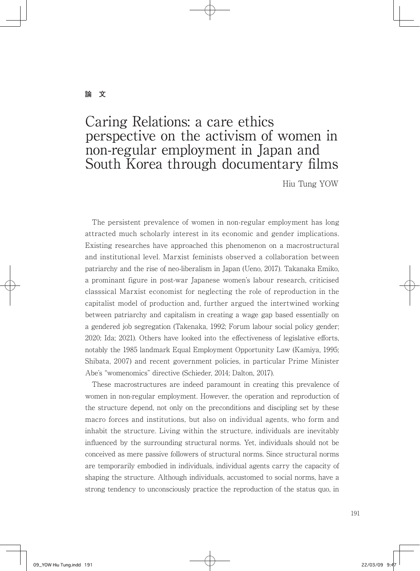#### **論 文**

# Caring Relations: a care ethics perspective on the activism of women in non-regular employment in Japan and South Korea through documentary films

Hiu Tung YOW

 The persistent prevalence of women in non-regular employment has long attracted much scholarly interest in its economic and gender implications. Existing researches have approached this phenomenon on a macrostructural and institutional level. Marxist feminists observed a collaboration between patriarchy and the rise of neo-liberalism in Japan (Ueno, 2017). Takanaka Emiko, a prominant figure in post-war Japanese women's labour research, criticised classsical Marxist economist for neglecting the role of reproduction in the capitalist model of production and, further argued the intertwined working between patriarchy and capitalism in creating a wage gap based essentially on a gendered job segregation (Takenaka, 1992; Forum labour social policy gender; 2020; Ida; 2021). Others have looked into the effectiveness of legislative efforts, notably the 1985 landmark Equal Employment Opportunity Law (Kamiya, 1995; Shibata, 2007) and recent government policies, in particular Prime Minister Abe's "womenomics" directive (Schieder, 2014; Dalton, 2017).

 These macrostructures are indeed paramount in creating this prevalence of women in non-regular employment. However, the operation and reproduction of the structure depend, not only on the preconditions and discipling set by these macro forces and institutions, but also on individual agents, who form and inhabit the structure. Living within the structure, individuals are inevitably influenced by the surrounding structural norms. Yet, individuals should not be conceived as mere passive followers of structural norms. Since structural norms are temporarily embodied in individuals, individual agents carry the capacity of shaping the structure. Although individuals, accustomed to social norms, have a strong tendency to unconsciously practice the reproduction of the status quo, in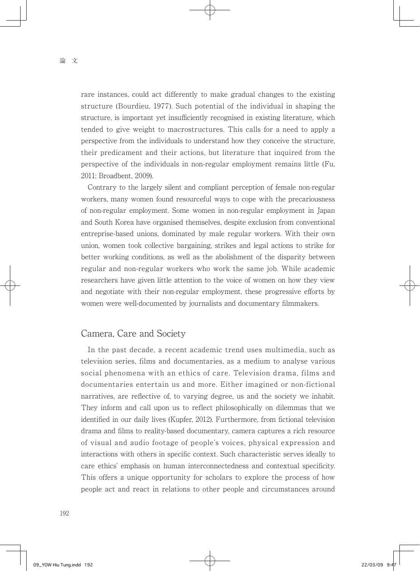rare instances, could act differently to make gradual changes to the existing structure (Bourdieu, 1977). Such potential of the individual in shaping the structure, is important yet insufficiently recognised in existing literature, which tended to give weight to macrostructures. This calls for a need to apply a perspective from the individuals to understand how they conceive the structure, their predicament and their actions, but literature that inquired from the perspective of the individuals in non-regular employment remains little (Fu, 2011; Broadbent, 2009).

 Contrary to the largely silent and compliant perception of female non-regular workers, many women found resourceful ways to cope with the precariousness of non-regular employment. Some women in non-regular employment in Japan and South Korea have organised themselves, despite exclusion from conventional entreprise-based unions, dominated by male regular workers. With their own union, women took collective bargaining, strikes and legal actions to strike for better working conditions, as well as the abolishment of the disparity between regular and non-regular workers who work the same job. While academic researchers have given little attention to the voice of women on how they view and negotiate with their non-regular employment, these progressive efforts by women were well-documented by journalists and documentary filmmakers.

#### Camera, Care and Society

 In the past decade, a recent academic trend uses multimedia, such as television series, films and documentaries, as a medium to analyse various social phenomena with an ethics of care. Television drama, films and documentaries entertain us and more. Either imagined or non-fictional narratives, are reflective of, to varying degree, us and the society we inhabit. They inform and call upon us to reflect philosophically on dilemmas that we identified in our daily lives (Kupfer, 2012). Furthermore, from fictional television drama and films to reality-based documentary, camera captures a rich resource of visual and audio footage of people's voices, physical expression and interactions with others in specific context. Such characteristic serves ideally to care ethics' emphasis on human interconnectedness and contextual specificity. This offers a unique opportunity for scholars to explore the process of how people act and react in relations to other people and circumstances around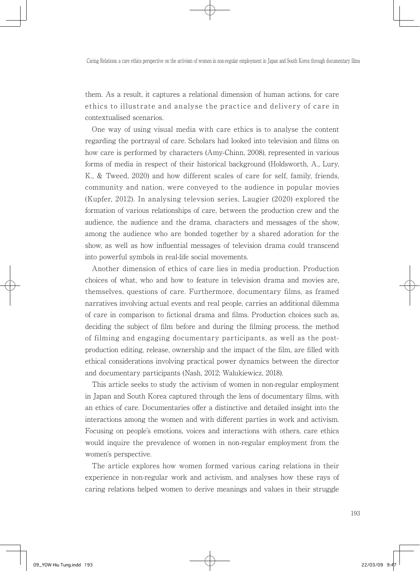them. As a result, it captures a relational dimension of human actions, for care ethics to illustrate and analyse the practice and delivery of care in contextualised scenarios.

 One way of using visual media with care ethics is to analyse the content regarding the portrayal of care. Scholars had looked into television and films on how care is performed by characters (Amy-Chinn, 2008), represented in various forms of media in respect of their historical background (Holdsworth, A., Lury, K., & Tweed, 2020) and how different scales of care for self, family, friends, community and nation, were conveyed to the audience in popular movies (Kupfer, 2012). In analysing televsion series, Laugier (2020) explored the formation of various relationships of care, between the production crew and the audience, the audience and the drama, characters and messages of the show, among the audience who are bonded together by a shared adoration for the show, as well as how influential messages of television drama could transcend into powerful symbols in real-life social movements.

 Another dimension of ethics of care lies in media production. Production choices of what, who and how to feature in television drama and movies are, themselves, questions of care. Furthermore, documentary films, as framed narratives involving actual events and real people, carries an additional dilemma of care in comparison to fictional drama and films. Production choices such as, deciding the subject of film before and during the filming process, the method of filming and engaging documentary participants, as well as the postproduction editing, release, ownership and the impact of the film, are filled with ethical considerations involving practical power dynamics between the director and documentary participants (Nash, 2012; Walukiewicz, 2018).

 This article seeks to study the activism of women in non-regular employment in Japan and South Korea captured through the lens of documentary films, with an ethics of care. Documentaries offer a distinctive and detailed insight into the interactions among the women and with different parties in work and activism. Focusing on people's emotions, voices and interactions with others, care ethics would inquire the prevalence of women in non-regular employment from the women's perspective.

 The article explores how women formed various caring relations in their experience in non-regular work and activism, and analyses how these rays of caring relations helped women to derive meanings and values in their struggle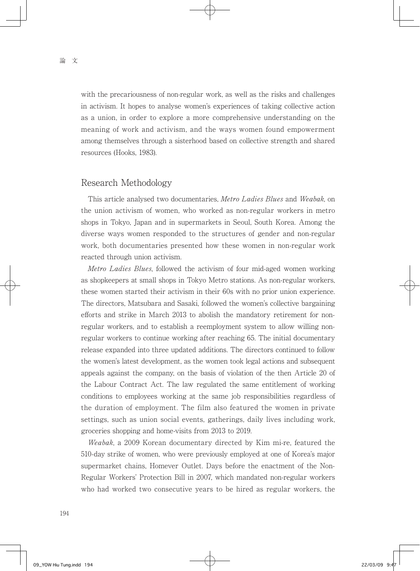with the precariousness of non-regular work, as well as the risks and challenges in activism. It hopes to analyse women's experiences of taking collective action as a union, in order to explore a more comprehensive understanding on the meaning of work and activism, and the ways women found empowerment among themselves through a sisterhood based on collective strength and shared resources (Hooks, 1983).

#### Research Methodology

This article analysed two documentaries, Metro Ladies Blues and Weabak, on the union activism of women, who worked as non-regular workers in metro shops in Tokyo, Japan and in supermarkets in Seoul, South Korea. Among the diverse ways women responded to the structures of gender and non-regular work, both documentaries presented how these women in non-regular work reacted through union activism.

Metro Ladies Blues, followed the activism of four mid-aged women working as shopkeepers at small shops in Tokyo Metro stations. As non-regular workers, these women started their activism in their 60s with no prior union experience. The directors, Matsubara and Sasaki, followed the women's collective bargaining efforts and strike in March 2013 to abolish the mandatory retirement for nonregular workers, and to establish a reemployment system to allow willing nonregular workers to continue working after reaching 65. The initial documentary release expanded into three updated additions. The directors continued to follow the women's latest development, as the women took legal actions and subsequent appeals against the company, on the basis of violation of the then Article 20 of the Labour Contract Act. The law regulated the same entitlement of working conditions to employees working at the same job responsibilities regardless of the duration of employment. The film also featured the women in private settings, such as union social events, gatherings, daily lives including work, groceries shopping and home-visits from 2013 to 2019.

Weabak, a 2009 Korean documentary directed by Kim mi-re, featured the 510-day strike of women, who were previously employed at one of Korea's major supermarket chains, Homever Outlet. Days before the enactment of the Non-Regular Workers' Protection Bill in 2007, which mandated non-regular workers who had worked two consecutive years to be hired as regular workers, the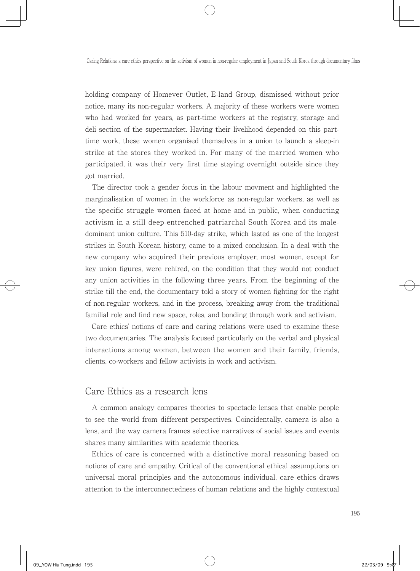holding company of Homever Outlet, E-land Group, dismissed without prior notice, many its non-regular workers. A majority of these workers were women who had worked for years, as part-time workers at the registry, storage and deli section of the supermarket. Having their livelihood depended on this parttime work, these women organised themselves in a union to launch a sleep-in strike at the stores they worked in. For many of the married women who participated, it was their very first time staying overnight outside since they got married.

 The director took a gender focus in the labour movment and highlighted the marginalisation of women in the workforce as non-regular workers, as well as the specific struggle women faced at home and in public, when conducting activism in a still deep-entrenched patriarchal South Korea and its maledominant union culture. This 510-day strike, which lasted as one of the longest strikes in South Korean history, came to a mixed conclusion. In a deal with the new company who acquired their previous employer, most women, except for key union figures, were rehired, on the condition that they would not conduct any union activities in the following three years. From the beginning of the strike till the end, the documentary told a story of women fighting for the right of non-regular workers, and in the process, breaking away from the traditional familial role and find new space, roles, and bonding through work and activism.

 Care ethics' notions of care and caring relations were used to examine these two documentaries. The analysis focused particularly on the verbal and physical interactions among women, between the women and their family, friends, clients, co-workers and fellow activists in work and activism.

#### Care Ethics as a research lens

 A common analogy compares theories to spectacle lenses that enable people to see the world from different perspectives. Coincidentally, camera is also a lens, and the way camera frames selective narratives of social issues and events shares many similarities with academic theories.

 Ethics of care is concerned with a distinctive moral reasoning based on notions of care and empathy. Critical of the conventional ethical assumptions on universal moral principles and the autonomous individual, care ethics draws attention to the interconnectedness of human relations and the highly contextual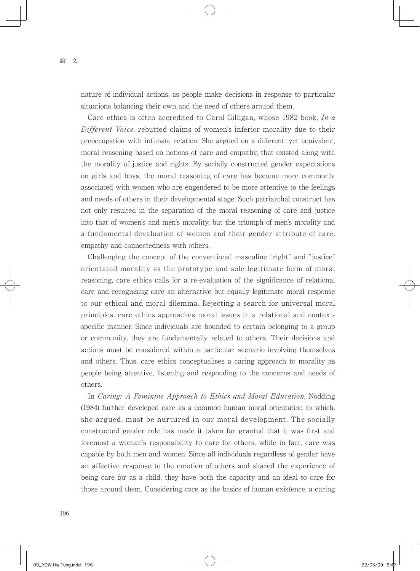nature of individual actions, as people make decisions in response to particular situations balancing their own and the need of others around them.

Care ethics is often accredited to Carol Gilligan, whose 1982 book, In a Different Voice, rebutted claims of women's inferior morality due to their preoccupation with intimate relation. She argued on a different, yet equivalent, moral reasoning based on notions of care and empathy, that existed along with the morality of justice and rights. By socially constructed gender expectations on girls and boys, the moral reasoning of care has become more commonly associated with women who are engendered to be more attentive to the feelings and needs of others in their developmental stage. Such patriarchal construct has not only resulted in the separation of the moral reasoning of care and justice into that of women's and men's morality, but the triumph of men's morality and a fundamental devaluation of women and their gender attribute of care, empathy and connectedness with others.

 Challenging the concept of the conventional masculine "right" and "justice" orientated morality as the prototype and sole legitimate form of moral reasoning, care ethics calls for a re-evaluation of the significance of relational care and recognising care an alternative but equally legitimate moral response to our ethical and moral dilemma. Rejecting a search for universal moral principles, care ethics approaches moral issues in a relational and contextspecific manner. Since individuals are bounded to certain belonging to a group or community, they are fundamentally related to others. Their decisions and actions must be considered within a particular scenario involving themselves and others. Thus, care ethics conceptualises a caring approach to morality as people being attentive, listening and responding to the concerns and needs of others.

In Caring: A Feminine Approach to Ethics and Moral Education, Nodding (1984) further developed care as a common human moral orientation to which, she argued, must be nurtured in our moral development. The socially constructed gender role has made it taken for granted that it was first and foremost a woman's responsibility to care for others, while in fact, care was capable by both men and women. Since all individuals regardless of gender have an affective response to the emotion of others and shared the experience of being care for as a child, they have both the capacity and an ideal to care for those around them. Considering care as the basics of human existence, a caring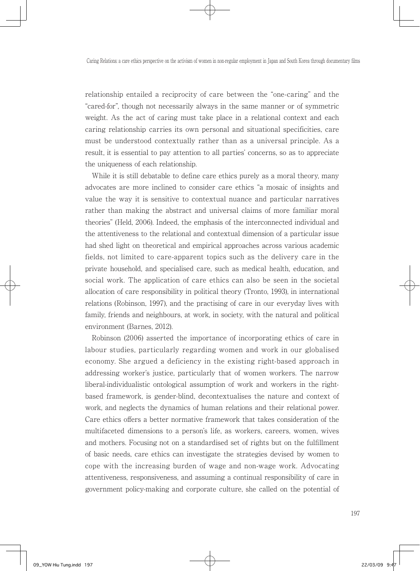relationship entailed a reciprocity of care between the "one-caring" and the "cared-for", though not necessarily always in the same manner or of symmetric weight. As the act of caring must take place in a relational context and each caring relationship carries its own personal and situational specificities, care must be understood contextually rather than as a universal principle. As a result, it is essential to pay attention to all parties' concerns, so as to appreciate the uniqueness of each relationship.

 While it is still debatable to define care ethics purely as a moral theory, many advocates are more inclined to consider care ethics "a mosaic of insights and value the way it is sensitive to contextual nuance and particular narratives rather than making the abstract and universal claims of more familiar moral theories" (Held, 2006). Indeed, the emphasis of the interconnected individual and the attentiveness to the relational and contextual dimension of a particular issue had shed light on theoretical and empirical approaches across various academic fields, not limited to care-apparent topics such as the delivery care in the private household, and specialised care, such as medical health, education, and social work. The application of care ethics can also be seen in the societal allocation of care responsibility in political theory (Tronto, 1993), in international relations (Robinson, 1997), and the practising of care in our everyday lives with family, friends and neighbours, at work, in society, with the natural and political environment (Barnes, 2012).

 Robinson (2006) asserted the importance of incorporating ethics of care in labour studies, particularly regarding women and work in our globalised economy. She argued a deficiency in the existing right-based approach in addressing worker's justice, particularly that of women workers. The narrow liberal-individualistic ontological assumption of work and workers in the rightbased framework, is gender-blind, decontextualises the nature and context of work, and neglects the dynamics of human relations and their relational power. Care ethics offers a better normative framework that takes consideration of the multifaceted dimensions to a person's life, as workers, careers, women, wives and mothers. Focusing not on a standardised set of rights but on the fulfillment of basic needs, care ethics can investigate the strategies devised by women to cope with the increasing burden of wage and non-wage work. Advocating attentiveness, responsiveness, and assuming a continual responsibility of care in government policy-making and corporate culture, she called on the potential of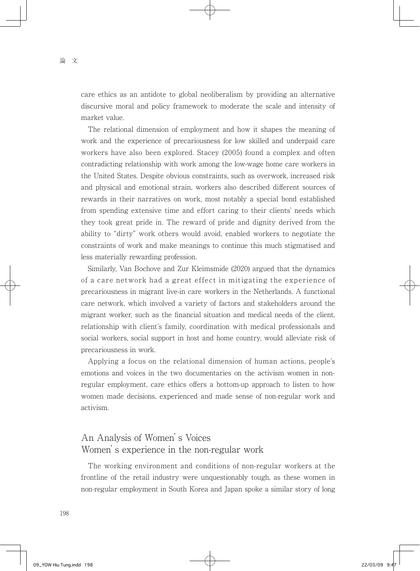care ethics as an antidote to global neoliberalism by providing an alternative discursive moral and policy framework to moderate the scale and intensity of market value.

 The relational dimension of employment and how it shapes the meaning of work and the experience of precariousness for low skilled and underpaid care workers have also been explored. Stacey (2005) found a complex and often contradicting relationship with work among the low-wage home care workers in the United States. Despite obvious constraints, such as overwork, increased risk and physical and emotional strain, workers also described different sources of rewards in their narratives on work, most notably a special bond established from spending extensive time and effort caring to their clients' needs which they took great pride in. The reward of pride and dignity derived from the ability to "dirty" work others would avoid, enabled workers to negotiate the constraints of work and make meanings to continue this much stigmatised and less materially rewarding profession.

 Similarly, Van Bochove and Zur Kleimsmide (2020) argued that the dynamics of a care network had a great effect in mitigating the experience of precariousness in migrant live-in care workers in the Netherlands. A functional care network, which involved a variety of factors and stakeholders around the migrant worker, such as the financial situation and medical needs of the client, relationship with client's family, coordination with medical professionals and social workers, social support in host and home country, would alleviate risk of precariousness in work.

 Applying a focus on the relational dimension of human actions, people's emotions and voices in the two documentaries on the activism women in nonregular employment, care ethics offers a bottom-up approach to listen to how women made decisions, experienced and made sense of non-regular work and activism.

### An Analysis of Women's Voices Women's experience in the non-regular work

 The working environment and conditions of non-regular workers at the frontline of the retail industry were unquestionably tough, as these women in non-regular employment in South Korea and Japan spoke a similar story of long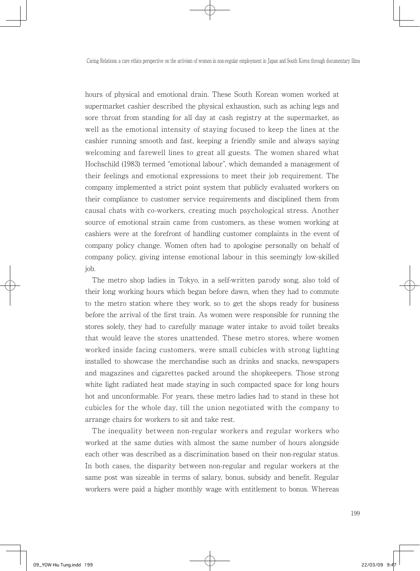hours of physical and emotional drain. These South Korean women worked at supermarket cashier described the physical exhaustion, such as aching legs and sore throat from standing for all day at cash registry at the supermarket, as well as the emotional intensity of staying focused to keep the lines at the cashier running smooth and fast, keeping a friendly smile and always saying welcoming and farewell lines to great all guests. The women shared what Hochschild (1983) termed "emotional labour", which demanded a management of their feelings and emotional expressions to meet their job requirement. The company implemented a strict point system that publicly evaluated workers on their compliance to customer service requirements and disciplined them from causal chats with co-workers, creating much psychological stress. Another source of emotional strain came from customers, as these women working at cashiers were at the forefront of handling customer complaints in the event of company policy change. Women often had to apologise personally on behalf of company policy, giving intense emotional labour in this seemingly low-skilled job.

 The metro shop ladies in Tokyo, in a self-written parody song, also told of their long working hours which began before dawn, when they had to commute to the metro station where they work, so to get the shops ready for business before the arrival of the first train. As women were responsible for running the stores solely, they had to carefully manage water intake to avoid toilet breaks that would leave the stores unattended. These metro stores, where women worked inside facing customers, were small cubicles with strong lighting installed to showcase the merchandise such as drinks and snacks, newspapers and magazines and cigarettes packed around the shopkeepers. Those strong white light radiated heat made staying in such compacted space for long hours hot and unconformable. For years, these metro ladies had to stand in these hot cubicles for the whole day, till the union negotiated with the company to arrange chairs for workers to sit and take rest.

 The inequality between non-regular workers and regular workers who worked at the same duties with almost the same number of hours alongside each other was described as a discrimination based on their non-regular status. In both cases, the disparity between non-regular and regular workers at the same post was sizeable in terms of salary, bonus, subsidy and benefit. Regular workers were paid a higher monthly wage with entitlement to bonus. Whereas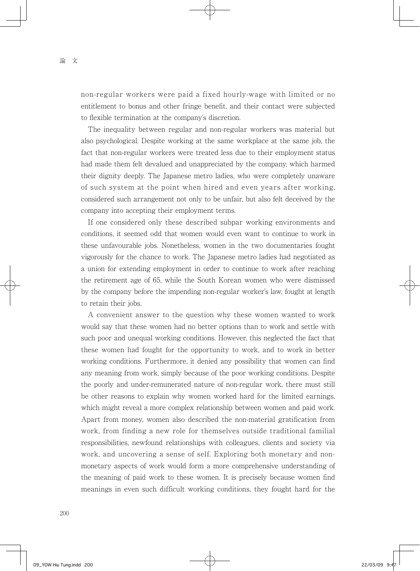non-regular workers were paid a fixed hourly-wage with limited or no entitlement to bonus and other fringe benefit, and their contact were subjected to flexible termination at the company's discretion.

 The inequality between regular and non-regular workers was material but also psychological. Despite working at the same workplace at the same job, the fact that non-regular workers were treated less due to their employment status had made them felt devalued and unappreciated by the company, which harmed their dignity deeply. The Japanese metro ladies, who were completely unaware of such system at the point when hired and even years after working, considered such arrangement not only to be unfair, but also felt deceived by the company into accepting their employment terms.

 If one considered only these described subpar working environments and conditions, it seemed odd that women would even want to continue to work in these unfavourable jobs. Nonetheless, women in the two documentaries fought vigorously for the chance to work. The Japanese metro ladies had negotiated as a union for extending employment in order to continue to work after reaching the retirement age of 65, while the South Korean women who were dismissed by the company before the impending non-regular worker's law, fought at length to retain their jobs.

 A convenient answer to the question why these women wanted to work would say that these women had no better options than to work and settle with such poor and unequal working conditions. However, this neglected the fact that these women had fought for the opportunity to work, and to work in better working conditions. Furthermore, it denied any possibility that women can find any meaning from work, simply because of the poor working conditions. Despite the poorly and under-remunerated nature of non-regular work, there must still be other reasons to explain why women worked hard for the limited earnings, which might reveal a more complex relationship between women and paid work. Apart from money, women also described the non-material gratification from work, from finding a new role for themselves outside traditional familial responsibilities, newfound relationships with colleagues, clients and society via work, and uncovering a sense of self. Exploring both monetary and nonmonetary aspects of work would form a more comprehensive understanding of the meaning of paid work to these women. It is precisely because women find meanings in even such difficult working conditions, they fought hard for the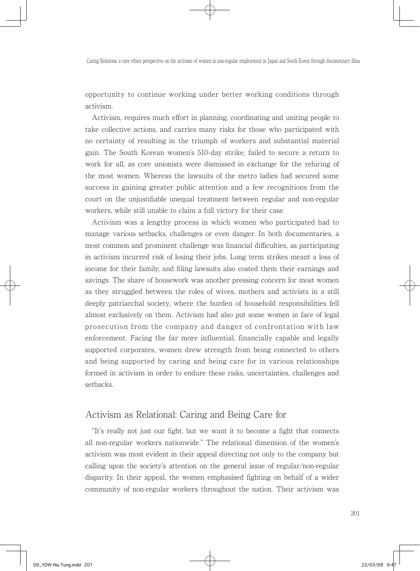opportunity to continue working under better working conditions through activism.

 Activism, requires much effort in planning, coordinating and uniting people to take collective actions, and carries many risks for those who participated with no certainty of resulting in the triumph of workers and substantial material gain. The South Korean women's 510-day strike, failed to secure a return to work for all, as core unionists were dismissed in exchange for the rehiring of the most women. Whereas the lawsuits of the metro ladies had secured some success in gaining greater public attention and a few recognitions from the court on the unjustifiable unequal treatment between regular and non-regular workers, while still unable to claim a full victory for their case.

 Activism was a lengthy process in which women who participated had to manage various setbacks, challenges or even danger. In both documentaries, a most common and prominent challenge was financial difficulties, as participating in activism incurred risk of losing their jobs. Long term strikes meant a loss of income for their family, and filing lawsuits also costed them their earnings and savings. The share of housework was another pressing concern for most women as they struggled between the roles of wives, mothers and activists in a still deeply patriarchal society, where the burden of household responsibilities fell almost exclusively on them. Activism had also put some women in face of legal prosecution from the company and danger of confrontation with law enforcement. Facing the far more influential, financially capable and legally supported corporates, women drew strength from being connected to others and being supported by caring and being care for in various relationships formed in activism in order to endure these risks, uncertainties, challenges and setbacks.

#### Activism as Relational: Caring and Being Care for

 "It's really not just our fight, but we want it to become a fight that connects all non-regular workers nationwide." The relational dimension of the women's activism was most evident in their appeal directing not only to the company but calling upon the society's attention on the general issue of regular/non-regular disparity. In their appeal, the women emphasised fighting on behalf of a wider community of non-regular workers throughout the nation. Their activism was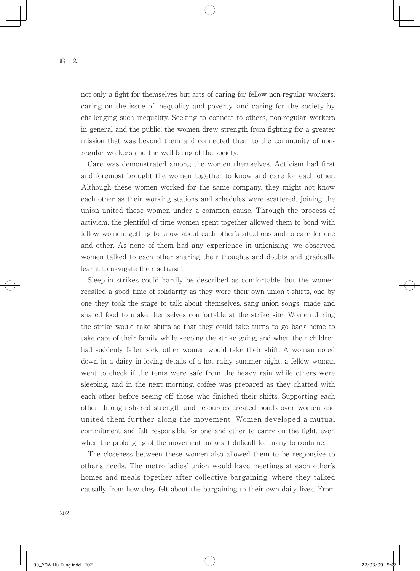not only a fight for themselves but acts of caring for fellow non-regular workers, caring on the issue of inequality and poverty, and caring for the society by challenging such inequality. Seeking to connect to others, non-regular workers in general and the public, the women drew strength from fighting for a greater mission that was beyond them and connected them to the community of nonregular workers and the well-being of the society.

 Care was demonstrated among the women themselves. Activism had first and foremost brought the women together to know and care for each other. Although these women worked for the same company, they might not know each other as their working stations and schedules were scattered. Joining the union united these women under a common cause. Through the process of activism, the plentiful of time women spent together allowed them to bond with fellow women, getting to know about each other's situations and to care for one and other. As none of them had any experience in unionising, we observed women talked to each other sharing their thoughts and doubts and gradually learnt to navigate their activism.

 Sleep-in strikes could hardly be described as comfortable, but the women recalled a good time of solidarity as they wore their own union t-shirts, one by one they took the stage to talk about themselves, sang union songs, made and shared food to make themselves comfortable at the strike site. Women during the strike would take shifts so that they could take turns to go back home to take care of their family while keeping the strike going, and when their children had suddenly fallen sick, other women would take their shift. A woman noted down in a dairy in loving details of a hot rainy summer night, a fellow woman went to check if the tents were safe from the heavy rain while others were sleeping, and in the next morning, coffee was prepared as they chatted with each other before seeing off those who finished their shifts. Supporting each other through shared strength and resources created bonds over women and united them further along the movement. Women developed a mutual commitment and felt responsible for one and other to carry on the fight, even when the prolonging of the movement makes it difficult for many to continue.

 The closeness between these women also allowed them to be responsive to other's needs. The metro ladies' union would have meetings at each other's homes and meals together after collective bargaining, where they talked causally from how they felt about the bargaining to their own daily lives. From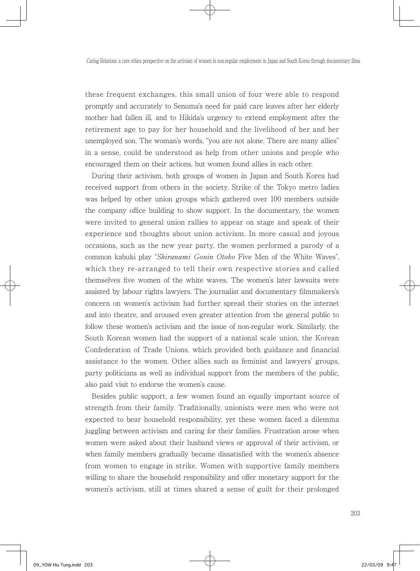these frequent exchanges, this small union of four were able to respond promptly and accurately to Senuma's need for paid care leaves after her elderly mother had fallen ill, and to Hikida's urgency to extend employment after the retirement age to pay for her household and the livelihood of her and her unemployed son. The woman's words, "you are not alone. There are many allies" in a sense, could be understood as help from other unions and people who encouraged them on their actions, but women found allies in each other.

 During their activism, both groups of women in Japan and South Korea had received support from others in the society. Strike of the Tokyo metro ladies was helped by other union groups which gathered over 100 members outside the company office building to show support. In the documentary, the women were invited to general union rallies to appear on stage and speak of their experience and thoughts about union activism. In more casual and joyous occasions, such as the new year party, the women performed a parody of a common kabuki play "Shiranami Gonin Otoko Five Men of the White Waves", which they re-arranged to tell their own respective stories and called themselves five women of the white waves. The women's later lawsuits were assisted by labour rights lawyers. The journalist and documentary filmmakers's concern on women's activism had further spread their stories on the internet and into theatre, and aroused even greater attention from the general public to follow these women's activism and the issue of non-regular work. Similarly, the South Korean women had the support of a national scale union, the Korean Confederation of Trade Unions, which provided both guidance and financial assistance to the women. Other allies such as feminist and lawyers' groups, party politicians as well as individual support from the members of the public, also paid visit to endorse the women's cause.

 Besides public support, a few women found an equally important source of strength from their family. Traditionally, unionists were men who were not expected to bear household responsibility, yet these women faced a dilemma juggling between activism and caring for their families. Frustration arose when women were asked about their husband views or approval of their activism, or when family members gradually became dissatisfied with the women's absence from women to engage in strike. Women with supportive family members willing to share the household responsibility and offer monetary support for the women's activism, still at times shared a sense of guilt for their prolonged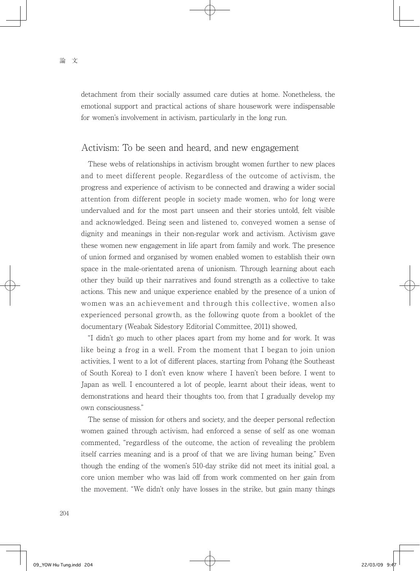detachment from their socially assumed care duties at home. Nonetheless, the emotional support and practical actions of share housework were indispensable for women's involvement in activism, particularly in the long run.

#### Activism: To be seen and heard, and new engagement

 These webs of relationships in activism brought women further to new places and to meet different people. Regardless of the outcome of activism, the progress and experience of activism to be connected and drawing a wider social attention from different people in society made women, who for long were undervalued and for the most part unseen and their stories untold, felt visible and acknowledged. Being seen and listened to, conveyed women a sense of dignity and meanings in their non-regular work and activism. Activism gave these women new engagement in life apart from family and work. The presence of union formed and organised by women enabled women to establish their own space in the male-orientated arena of unionism. Through learning about each other they build up their narratives and found strength as a collective to take actions. This new and unique experience enabled by the presence of a union of women was an achievement and through this collective, women also experienced personal growth, as the following quote from a booklet of the documentary (Weabak Sidestory Editorial Committee, 2011) showed,

 "I didn't go much to other places apart from my home and for work. It was like being a frog in a well. From the moment that I began to join union activities, I went to a lot of different places, starting from Pohang (the Southeast of South Korea) to I don't even know where I haven't been before. I went to Japan as well. I encountered a lot of people, learnt about their ideas, went to demonstrations and heard their thoughts too, from that I gradually develop my own consciousness."

 The sense of mission for others and society, and the deeper personal reflection women gained through activism, had enforced a sense of self as one woman commented, "regardless of the outcome, the action of revealing the problem itself carries meaning and is a proof of that we are living human being." Even though the ending of the women's 510-day strike did not meet its initial goal, a core union member who was laid off from work commented on her gain from the movement. "We didn't only have losses in the strike, but gain many things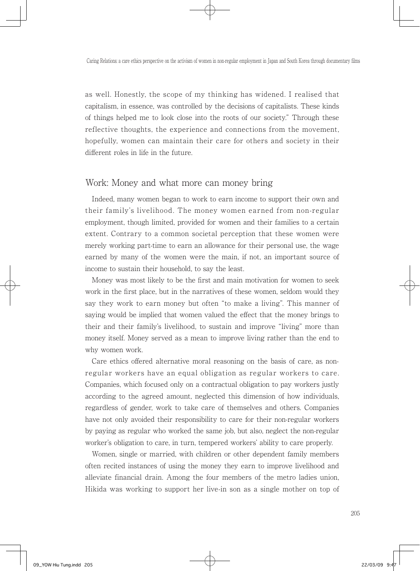as well. Honestly, the scope of my thinking has widened. I realised that capitalism, in essence, was controlled by the decisions of capitalists. These kinds of things helped me to look close into the roots of our society." Through these reflective thoughts, the experience and connections from the movement, hopefully, women can maintain their care for others and society in their different roles in life in the future.

#### Work: Money and what more can money bring

 Indeed, many women began to work to earn income to support their own and their family's livelihood. The money women earned from non-regular employment, though limited, provided for women and their families to a certain extent. Contrary to a common societal perception that these women were merely working part-time to earn an allowance for their personal use, the wage earned by many of the women were the main, if not, an important source of income to sustain their household, to say the least.

 Money was most likely to be the first and main motivation for women to seek work in the first place, but in the narratives of these women, seldom would they say they work to earn money but often "to make a living". This manner of saying would be implied that women valued the effect that the money brings to their and their family's livelihood, to sustain and improve "living" more than money itself. Money served as a mean to improve living rather than the end to why women work.

 Care ethics offered alternative moral reasoning on the basis of care, as nonregular workers have an equal obligation as regular workers to care. Companies, which focused only on a contractual obligation to pay workers justly according to the agreed amount, neglected this dimension of how individuals, regardless of gender, work to take care of themselves and others. Companies have not only avoided their responsibility to care for their non-regular workers by paying as regular who worked the same job, but also, neglect the non-regular worker's obligation to care, in turn, tempered workers' ability to care properly.

 Women, single or married, with children or other dependent family members often recited instances of using the money they earn to improve livelihood and alleviate financial drain. Among the four members of the metro ladies union, Hikida was working to support her live-in son as a single mother on top of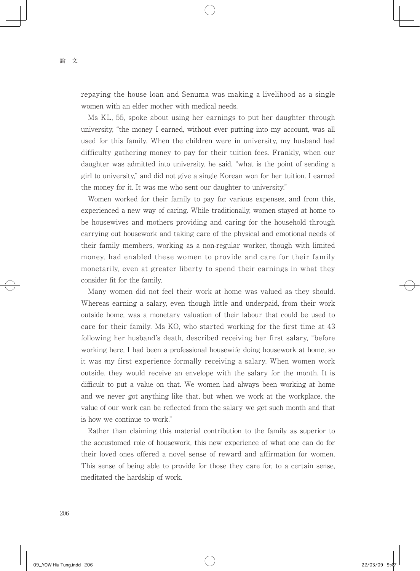repaying the house loan and Senuma was making a livelihood as a single women with an elder mother with medical needs.

 Ms KL, 55, spoke about using her earnings to put her daughter through university, "the money I earned, without ever putting into my account, was all used for this family. When the children were in university, my husband had difficulty gathering money to pay for their tuition fees. Frankly, when our daughter was admitted into university, he said, "what is the point of sending a girl to university," and did not give a single Korean won for her tuition. I earned the money for it. It was me who sent our daughter to university."

 Women worked for their family to pay for various expenses, and from this, experienced a new way of caring. While traditionally, women stayed at home to be housewives and mothers providing and caring for the household through carrying out housework and taking care of the physical and emotional needs of their family members, working as a non-regular worker, though with limited money, had enabled these women to provide and care for their family monetarily, even at greater liberty to spend their earnings in what they consider fit for the family.

 Many women did not feel their work at home was valued as they should. Whereas earning a salary, even though little and underpaid, from their work outside home, was a monetary valuation of their labour that could be used to care for their family. Ms KO, who started working for the first time at 43 following her husband's death, described receiving her first salary, "before working here, I had been a professional housewife doing housework at home, so it was my first experience formally receiving a salary. When women work outside, they would receive an envelope with the salary for the month. It is difficult to put a value on that. We women had always been working at home and we never got anything like that, but when we work at the workplace, the value of our work can be reflected from the salary we get such month and that is how we continue to work."

 Rather than claiming this material contribution to the family as superior to the accustomed role of housework, this new experience of what one can do for their loved ones offered a novel sense of reward and affirmation for women. This sense of being able to provide for those they care for, to a certain sense, meditated the hardship of work.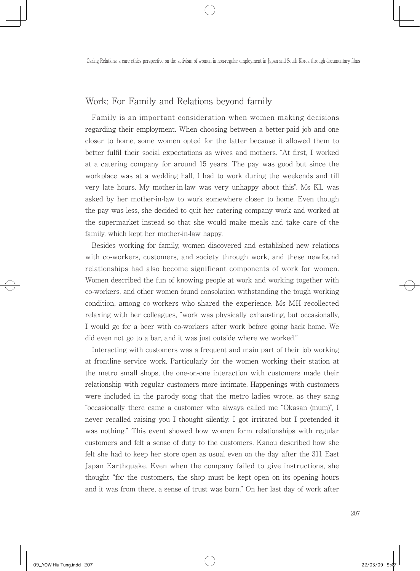### Work: For Family and Relations beyond family

 Family is an important consideration when women making decisions regarding their employment. When choosing between a better-paid job and one closer to home, some women opted for the latter because it allowed them to better fulfil their social expectations as wives and mothers. "At first, I worked at a catering company for around 15 years. The pay was good but since the workplace was at a wedding hall, I had to work during the weekends and till very late hours. My mother-in-law was very unhappy about this". Ms KL was asked by her mother-in-law to work somewhere closer to home. Even though the pay was less, she decided to quit her catering company work and worked at the supermarket instead so that she would make meals and take care of the family, which kept her mother-in-law happy.

 Besides working for family, women discovered and established new relations with co-workers, customers, and society through work, and these newfound relationships had also become significant components of work for women. Women described the fun of knowing people at work and working together with co-workers, and other women found consolation withstanding the tough working condition, among co-workers who shared the experience. Ms MH recollected relaxing with her colleagues, "work was physically exhausting, but occasionally, I would go for a beer with co-workers after work before going back home. We did even not go to a bar, and it was just outside where we worked."

 Interacting with customers was a frequent and main part of their job working at frontline service work. Particularly for the women working their station at the metro small shops, the one-on-one interaction with customers made their relationship with regular customers more intimate. Happenings with customers were included in the parody song that the metro ladies wrote, as they sang "occasionally there came a customer who always called me "Okasan (mum)", I never recalled raising you I thought silently. I got irritated but I pretended it was nothing." This event showed how women form relationships with regular customers and felt a sense of duty to the customers. Kanou described how she felt she had to keep her store open as usual even on the day after the 311 East Japan Earthquake. Even when the company failed to give instructions, she thought "for the customers, the shop must be kept open on its opening hours and it was from there, a sense of trust was born." On her last day of work after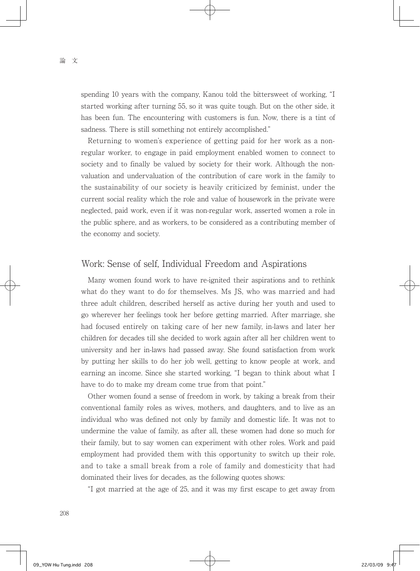spending 10 years with the company, Kanou told the bittersweet of working, "I started working after turning 55, so it was quite tough. But on the other side, it has been fun. The encountering with customers is fun. Now, there is a tint of sadness. There is still something not entirely accomplished."

 Returning to women's experience of getting paid for her work as a nonregular worker, to engage in paid employment enabled women to connect to society and to finally be valued by society for their work. Although the nonvaluation and undervaluation of the contribution of care work in the family to the sustainability of our society is heavily criticized by feminist, under the current social reality which the role and value of housework in the private were neglected, paid work, even if it was non-regular work, asserted women a role in the public sphere, and as workers, to be considered as a contributing member of the economy and society.

#### Work: Sense of self, Individual Freedom and Aspirations

 Many women found work to have re-ignited their aspirations and to rethink what do they want to do for themselves. Ms JS, who was married and had three adult children, described herself as active during her youth and used to go wherever her feelings took her before getting married. After marriage, she had focused entirely on taking care of her new family, in-laws and later her children for decades till she decided to work again after all her children went to university and her in-laws had passed away. She found satisfaction from work by putting her skills to do her job well, getting to know people at work, and earning an income. Since she started working, "I began to think about what I have to do to make my dream come true from that point."

 Other women found a sense of freedom in work, by taking a break from their conventional family roles as wives, mothers, and daughters, and to live as an individual who was defined not only by family and domestic life. It was not to undermine the value of family, as after all, these women had done so much for their family, but to say women can experiment with other roles. Work and paid employment had provided them with this opportunity to switch up their role, and to take a small break from a role of family and domesticity that had dominated their lives for decades, as the following quotes shows:

"I got married at the age of 25, and it was my first escape to get away from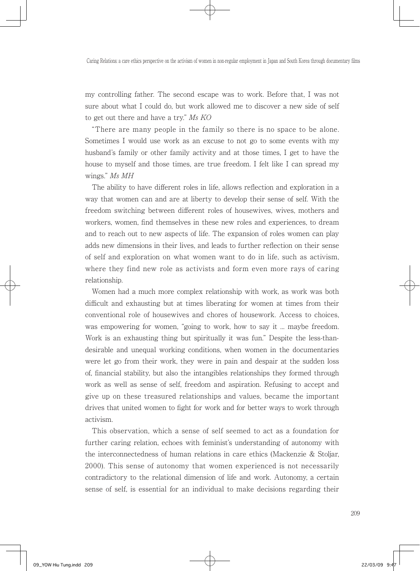my controlling father. The second escape was to work. Before that, I was not sure about what I could do, but work allowed me to discover a new side of self to get out there and have a try." Ms KO

 "There are many people in the family so there is no space to be alone. Sometimes I would use work as an excuse to not go to some events with my husband's family or other family activity and at those times, I get to have the house to myself and those times, are true freedom. I felt like I can spread my wings." Ms MH

 The ability to have different roles in life, allows reflection and exploration in a way that women can and are at liberty to develop their sense of self. With the freedom switching between different roles of housewives, wives, mothers and workers, women, find themselves in these new roles and experiences, to dream and to reach out to new aspects of life. The expansion of roles women can play adds new dimensions in their lives, and leads to further reflection on their sense of self and exploration on what women want to do in life, such as activism, where they find new role as activists and form even more rays of caring relationship.

 Women had a much more complex relationship with work, as work was both difficult and exhausting but at times liberating for women at times from their conventional role of housewives and chores of housework. Access to choices, was empowering for women, "going to work, how to say it ... maybe freedom. Work is an exhausting thing but spiritually it was fun." Despite the less-thandesirable and unequal working conditions, when women in the documentaries were let go from their work, they were in pain and despair at the sudden loss of, financial stability, but also the intangibles relationships they formed through work as well as sense of self, freedom and aspiration. Refusing to accept and give up on these treasured relationships and values, became the important drives that united women to fight for work and for better ways to work through activism.

 This observation, which a sense of self seemed to act as a foundation for further caring relation, echoes with feminist's understanding of autonomy with the interconnectedness of human relations in care ethics (Mackenzie & Stoljar, 2000). This sense of autonomy that women experienced is not necessarily contradictory to the relational dimension of life and work. Autonomy, a certain sense of self, is essential for an individual to make decisions regarding their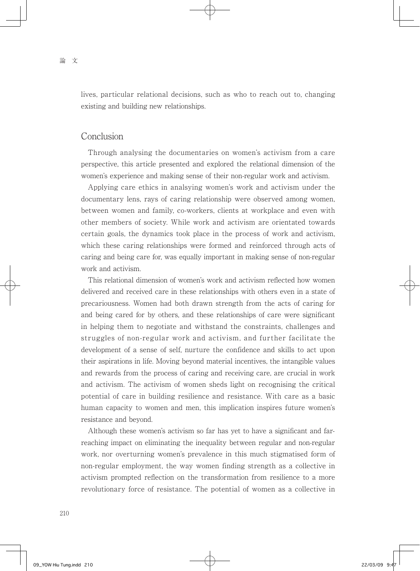lives, particular relational decisions, such as who to reach out to, changing existing and building new relationships.

#### Conclusion

 Through analysing the documentaries on women's activism from a care perspective, this article presented and explored the relational dimension of the women's experience and making sense of their non-regular work and activism.

 Applying care ethics in analsying women's work and activism under the documentary lens, rays of caring relationship were observed among women, between women and family, co-workers, clients at workplace and even with other members of society. While work and activism are orientated towards certain goals, the dynamics took place in the process of work and activism, which these caring relationships were formed and reinforced through acts of caring and being care for, was equally important in making sense of non-regular work and activism.

 This relational dimension of women's work and activism reflected how women delivered and received care in these relationships with others even in a state of precariousness. Women had both drawn strength from the acts of caring for and being cared for by others, and these relationships of care were significant in helping them to negotiate and withstand the constraints, challenges and struggles of non-regular work and activism, and further facilitate the development of a sense of self, nurture the confidence and skills to act upon their aspirations in life. Moving beyond material incentives, the intangible values and rewards from the process of caring and receiving care, are crucial in work and activism. The activism of women sheds light on recognising the critical potential of care in building resilience and resistance. With care as a basic human capacity to women and men, this implication inspires future women's resistance and beyond.

 Although these women's activism so far has yet to have a significant and farreaching impact on eliminating the inequality between regular and non-regular work, nor overturning women's prevalence in this much stigmatised form of non-regular employment, the way women finding strength as a collective in activism prompted reflection on the transformation from resilience to a more revolutionary force of resistance. The potential of women as a collective in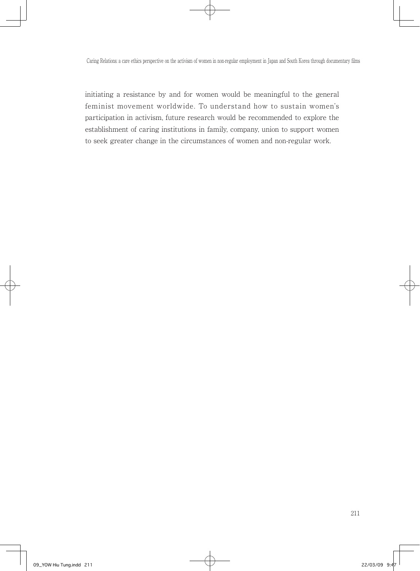initiating a resistance by and for women would be meaningful to the general feminist movement worldwide. To understand how to sustain women's participation in activism, future research would be recommended to explore the establishment of caring institutions in family, company, union to support women to seek greater change in the circumstances of women and non-regular work.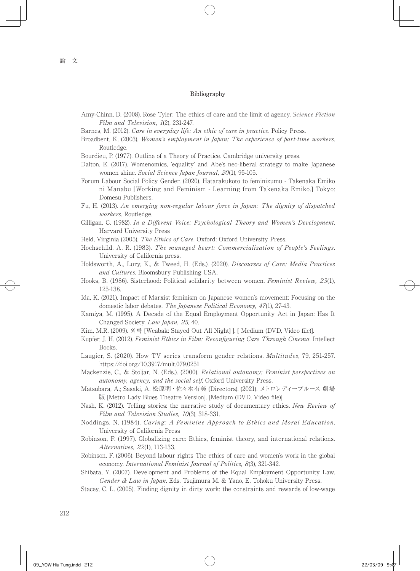#### Bibliography

- Amy-Chinn, D. (2008). Rose Tyler: The ethics of care and the limit of agency. Science Fiction Film and Television, 1(2), 231-247.
- Barnes, M. (2012). Care in everyday life: An ethic of care in practice. Policy Press.
- Broadbent, K. (2003). Women's employment in Japan: The experience of part-time workers. Routledge.
- Bourdieu, P. (1977). Outline of a Theory of Practice. Cambridge university press.
- Dalton, E. (2017). Womenomics, 'equality' and Abe's neo-liberal strategy to make Japanese women shine. Social Science Japan Journal, 20(1), 95-105.
- Forum Labour Social Policy Gender. (2020). Hatarakukoto to feminizumu Takenaka Emiko ni Manabu [Working and Feminism - Learning from Takenaka Emiko.] Tokyo: Domesu Publishers.
- Fu, H. (2013). An emerging non-regular labour force in Japan: The dignity of dispatched workers. Routledge.
- Gilligan, C. (1982). In a Different Voice: Psychological Theory and Women's Development. Harvard University Press
- Held, Virginia (2005). The Ethics of Care. Oxford: Oxford University Press.
- Hochschild, A. R. (1983). The managed heart: Commercialization of People's Feelings. University of California press.
- Holdsworth, A., Lury, K., & Tweed, H. (Eds.). (2020). Discourses of Care: Media Practices and Cultures. Bloomsbury Publishing USA.
- Hooks, B. (1986). Sisterhood: Political solidarity between women. Feminist Review, 23(1), 125-138.
- Ida, K. (2021). Impact of Marxist feminism on Japanese women's movement: Focusing on the domestic labor debates. The Japanese Political Economy, 47(1), 27-43.
- Kamiya, M. (1995). A Decade of the Equal Employment Opportunity Act in Japan: Has It Changed Society. Law Japan, 25, 40.
- Kim, M.R. (2009). 외박 [Weabak: Stayed Out All Night] ]. [ Medium (DVD, Video file)].
- Kupfer, J. H. (2012). Feminist Ethics in Film: Reconfiguring Care Through Cinema. Intellect Books.
- Laugier, S. (2020). How TV series transform gender relations. Multitudes, 79, 251-257. https://doi.org/10.3917/mult.079.0251
- Mackenzie, C., & Stoljar, N. (Eds.). (2000). Relational autonomy: Feminist perspectives on autonomy, agency, and the social self. Oxford University Press.
- Matsubara, A.; Sasaki, A. 松原明・佐々木有美 (Directors). (2021). メトロレディーブルース 劇場 版 [Metro Lady Blues Theatre Version]. [Medium (DVD, Video file)].
- Nash, K. (2012). Telling stories: the narrative study of documentary ethics. New Review of Film and Television Studies, 10(3), 318-331.
- Noddings, N. (1984). Caring: A Feminine Approach to Ethics and Moral Education. University of California Press
- Robinson, F. (1997). Globalizing care: Ethics, feminist theory, and international relations. Alternatives, 22(1), 113-133.
- Robinson, F. (2006). Beyond labour rights The ethics of care and women's work in the global economy. International Feminist Journal of Politics, 8(3), 321-342.
- Shibata, Y. (2007). Development and Problems of the Equal Employment Opportunity Law. Gender & Law in Japan. Eds. Tsujimura M. & Yano, E. Tohoku University Press.
- Stacey, C. L. (2005). Finding dignity in dirty work: the constraints and rewards of low-wage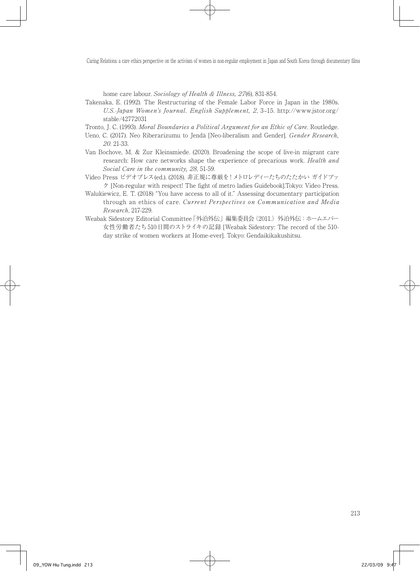home care labour. Sociology of Health & Illness, 27(6), 831-854.

Takenaka, E. (1992). The Restructuring of the Female Labor Force in Japan in the 1980s. U.S.-Japan Women's Journal. English Supplement, 2, 3–15. http://www.jstor.org/ stable/42772031

Tronto, J. C. (1993). Moral Boundaries a Political Argument for an Ethic of Care. Routledge.

- Ueno, C. (2017). Neo Riberarizumu to Jendā [Neo-liberalism and Gender]. Gender Research, 20. 21-33.
- Van Bochove, M. & Zur Kleinsmiede. (2020). Broadening the scope of live-in migrant care research: How care networks shape the experience of precarious work. Health and Social Care in the community, 28, 51-59.
- Video Press ビデオプレス(ed.). (2018). 非正規に尊厳を!メトロレディーたちのたたかい ガイドブッ ク [Non-regular with respect! The fight of metro ladies Guidebook].Tokyo: Video Press.
- Walukiewicz, E. T. (2018) "You have access to all of it." Assessing documentary participation through an ethics of care. Current Perspectives on Communication and Media Research, 217-229.
- Weabak Sidestory Editorial Committee「外泊外伝」編集委員会(2011.)外泊外伝:ホームエバー 女性労働者たち510日間のストライキの記録 [Weabak Sidestory: The record of the 510 day strike of women workers at Home-ever]. Tokyo: Gendaikikakushitsu.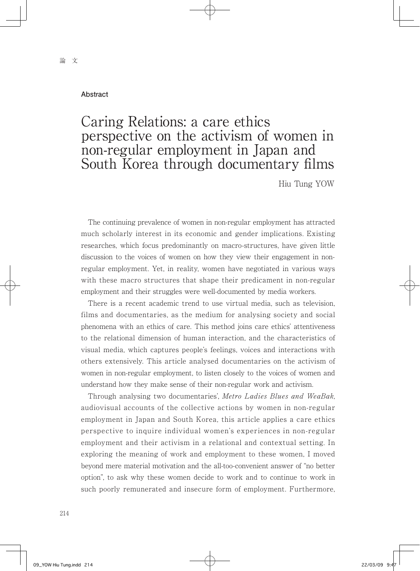#### **Abstract**

## Caring Relations: a care ethics perspective on the activism of women in non-regular employment in Japan and South Korea through documentary films

Hiu Tung YOW

 The continuing prevalence of women in non-regular employment has attracted much scholarly interest in its economic and gender implications. Existing researches, which focus predominantly on macro-structures, have given little discussion to the voices of women on how they view their engagement in nonregular employment. Yet, in reality, women have negotiated in various ways with these macro structures that shape their predicament in non-regular employment and their struggles were well-documented by media workers.

 There is a recent academic trend to use virtual media, such as television, films and documentaries, as the medium for analysing society and social phenomena with an ethics of care. This method joins care ethics' attentiveness to the relational dimension of human interaction, and the characteristics of visual media, which captures people's feelings, voices and interactions with others extensively. This article analysed documentaries on the activism of women in non-regular employment, to listen closely to the voices of women and understand how they make sense of their non-regular work and activism.

 Through analysing two documentaries', Metro Ladies Blues and WeaBak, audiovisual accounts of the collective actions by women in non-regular employment in Japan and South Korea, this article applies a care ethics perspective to inquire individual women's experiences in non-regular employment and their activism in a relational and contextual setting. In exploring the meaning of work and employment to these women, I moved beyond mere material motivation and the all-too-convenient answer of "no better option", to ask why these women decide to work and to continue to work in such poorly remunerated and insecure form of employment. Furthermore,